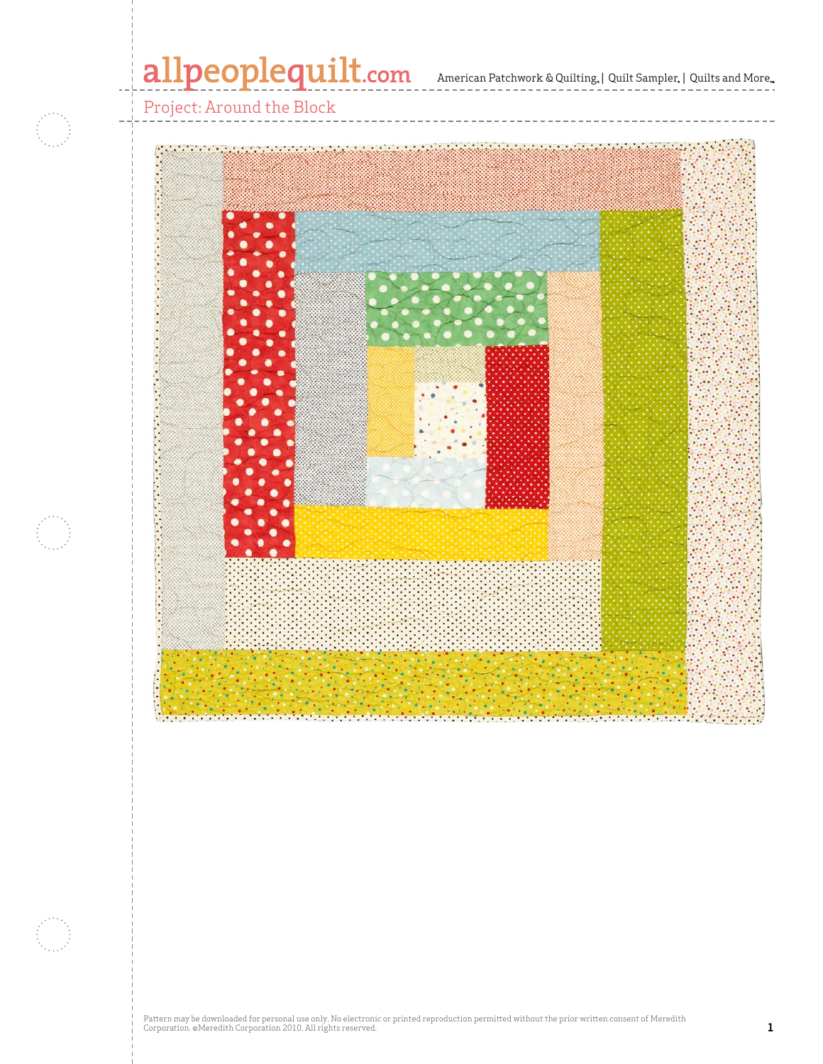# allpeoplequilt.com

American Patchwork & Quilting, | Quilt Sampler, | Quilts and More...

Project: Around the Block



Pattern may be downloaded for personal use only. No electronic or printed reproduction permitted without the prior written consent of Meredith<br>Corporation. ®Meredith Corporation 2010. All rights reserved.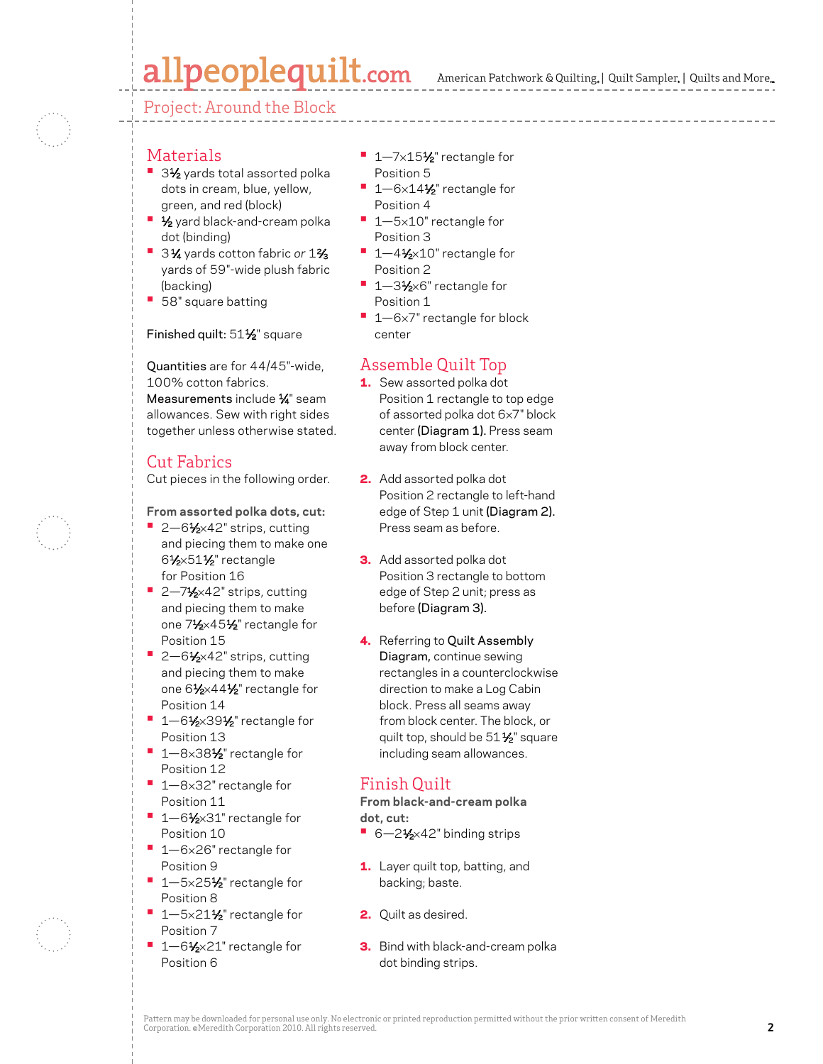# allpeoplequilt.com

Project: Around the Block

- Materials
- 3½ yards total assorted polka dots in cream, blue, yellow, green, and red (block)
- **1/<sub>2</sub>** yard black-and-cream polka dot (binding)
- 3<sup>1⁄4</sup> yards cotton fabric or 1<sup>2</sup>⁄<sub>3</sub> yards of 59"-wide plush fabric (backing)
- **•**  58" square batting

#### Finished quilt: 511/2" square

Quantities are for 44/45"-wide, 100% cotton fabrics. Measurements include 1/4" seam allowances. Sew with right sides together unless otherwise stated.

## Cut Fabrics

Cut pieces in the following order.

#### **From assorted polka dots, cut:**

- 2–6<sup>1</sup>⁄<sub>2×42</sub>" strips, cutting and piecing them to make one 61⁄2×511⁄2" rectangle for Position 16
- <sup>•</sup> 2–7<sup>1</sup>/<sub>2</sub>×42" strips, cutting and piecing them to make one 71⁄2×451⁄2" rectangle for Position 15
- 2-61⁄<sub>2×42</sub>" strips, cutting and piecing them to make one 61⁄2×441⁄2" rectangle for Position 14
- **1–61/2×391/2**" rectangle for Position 13
- 1-8×38<sup>1</sup>⁄<sub>2</sub>" rectangle for Position 12
- **•**  1—8×32" rectangle for Position 11
- 1-6½×31" rectangle for Position 10
- **•**  1—6×26" rectangle for Position 9
- 1-5×25<sup>1</sup>⁄<sub>2</sub>" rectangle for Position 8
- 1-5×21½" rectangle for Position 7
- 1-61⁄2×21" rectangle for Position 6
- 1–7×15<sup>1</sup>⁄<sub>2</sub>" rectangle for Position 5
- 1–6×14½" rectangle for Position 4
- 1-5×10" rectangle for Position 3
- 1-41⁄2×10" rectangle for Position 2
- 1-3½×6" rectangle for Position 1
- 1-6×7" rectangle for block center

### Assemble Quilt Top

- 1. Sew assorted polka dot Position 1 rectangle to top edge of assorted polka dot 6×7" block center (Diagram 1). Press seam away from block center.
- 2. Add assorted polka dot Position 2 rectangle to left-hand edge of Step 1 unit (Diagram 2). Press seam as before.
- 3. Add assorted polka dot Position 3 rectangle to bottom edge of Step 2 unit; press as before (Diagram 3).
- 4. Referring to Quilt Assembly Diagram, continue sewing rectangles in a counterclockwise direction to make a Log Cabin block. Press all seams away from block center. The block, or quilt top, should be 51<sup>1/2</sup> square including seam allowances.

## Finish Quilt

**From black-and-cream polka dot, cut:**

- 6-21⁄2×42" binding strips
- 1. Layer quilt top, batting, and backing; baste.
- 2. Quilt as desired.
- **3.** Bind with black-and-cream polka dot binding strips.